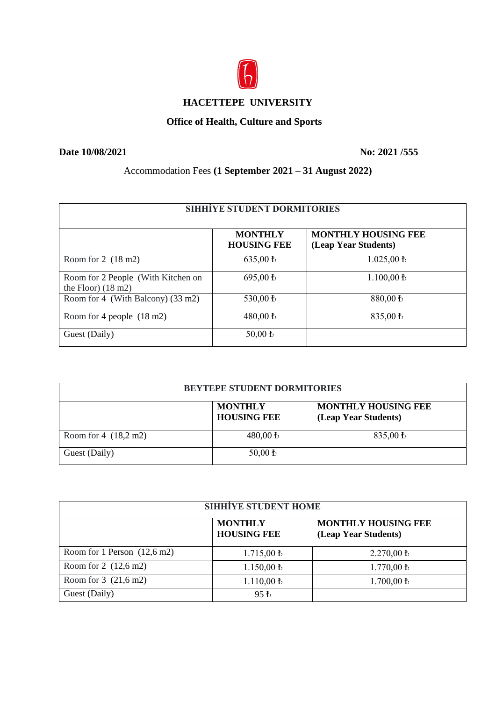

## **HACETTEPE UNIVERSITY**

## **Office of Health, Culture and Sports**

**Date 10/08/2021** No: 2021 /555

Accommodation Fees **(1 September 2021 – 31 August 2022)**

| <b>SIHHIYE STUDENT DORMITORIES</b>                                 |                                      |                                                    |
|--------------------------------------------------------------------|--------------------------------------|----------------------------------------------------|
|                                                                    | <b>MONTHLY</b><br><b>HOUSING FEE</b> | <b>MONTHLY HOUSING FEE</b><br>(Leap Year Students) |
| Room for $2(18 \text{ m2})$                                        | $635,00 \text{ }$                    | $1.025,00 \text{ } \mathbf{\bar{t}}$               |
| Room for 2 People (With Kitchen on<br>the Floor) $(18 \text{ m2})$ | 695,00 ₺                             | $1.100,00 \text{ }$                                |
| Room for 4 (With Balcony) (33 m2)                                  | 530,00 ₺                             | 880,00 ₺                                           |
| Room for 4 people (18 m2)                                          | 480,00 ₺                             | 835,00 ₺                                           |
| Guest (Daily)                                                      | $50,00 \text{ } \text{t}$            |                                                    |

| BEYTEPE STUDENT DORMITORIES |                                      |                                                    |
|-----------------------------|--------------------------------------|----------------------------------------------------|
|                             | <b>MONTHLY</b><br><b>HOUSING FEE</b> | <b>MONTHLY HOUSING FEE</b><br>(Leap Year Students) |
| Room for $4(18,2 m2)$       | 480,00 $\rm{t}$                      | 835,00 $\,\mathrm{t}$                              |
| Guest (Daily)               | $50,00 \text{ } \frac{1}{2}$         |                                                    |

| <b>SIHHİYE STUDENT HOME</b>           |                                      |                                                    |  |
|---------------------------------------|--------------------------------------|----------------------------------------------------|--|
|                                       | <b>MONTHLY</b><br><b>HOUSING FEE</b> | <b>MONTHLY HOUSING FEE</b><br>(Leap Year Students) |  |
| Room for 1 Person $(12,6 \text{ m2})$ | $1.715,00 \text{ } \mathrm{t}$       | $2.270,00 \text{ }$                                |  |
| Room for $2(12,6 \text{ m2})$         | $1.150,00 \text{ } \mathbf{\bar{t}}$ | $1.770,00 \text{ } \mathbf{\bar{t}}$               |  |
| Room for $3(21,6 m2)$                 | $1.110,00 \text{ } \text{t}$         | $1.700,00 \text{ }$                                |  |
| Guest (Daily)                         | $95 \,\mathrm{h}$                    |                                                    |  |